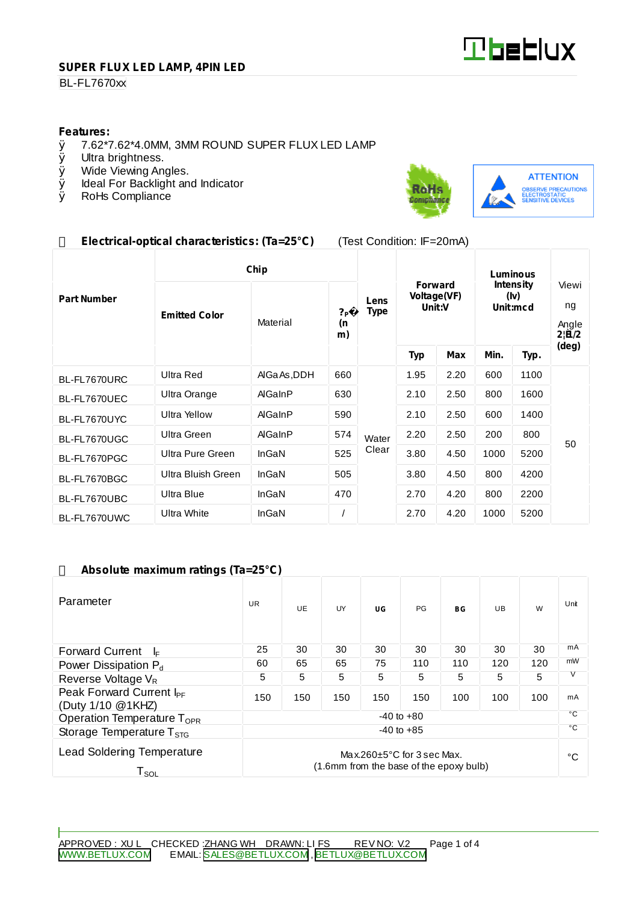

## **SUPER FLUX LED LAMP, 4PIN LED**

## **BL-FL7670xx**

# **Features:**<br>0 7.62\*7

- $\emptyset$  7.62\*7.62\*4.0MM, 3MM ROUND SUPER FLUX LED LAMP  $\emptyset$  Ultra brightness.
- Ø Ultra brightness.<br>Ø Wide Viewing An
- Wide Viewing Angles.
- Ø Ideal For Backlight and Indicator<br>Ø RoHs Compliance
- RoHs Compliance



# **Electrical-optical characteristics: (Ta=25°C)** (Test Condition: IF=20mA)

|                    | Chip                 |             |                            |                     | Luminous                                |      |                                      |      |                                              |
|--------------------|----------------------|-------------|----------------------------|---------------------|-----------------------------------------|------|--------------------------------------|------|----------------------------------------------|
| <b>Part Number</b> | <b>Emitted Color</b> | Material    | ? <sub>P</sub><br>(n<br>m) | Lens<br><b>Type</b> | <b>Forward</b><br>Voltage(VF)<br>Unit:V |      | <b>Intensity</b><br>(Iv)<br>Unit:mcd |      | Viewi<br>ng<br>Angle<br>$2 \widetilde{H}/2 $ |
|                    |                      |             |                            |                     | <b>Typ</b>                              | Max  | Min.                                 | Typ. | (deg)                                        |
| BL-FL7670URC       | <b>Ultra Red</b>     | AlGaAs, DDH | 660                        |                     | 1.95                                    | 2.20 | 600                                  | 1100 | 50                                           |
| BL-FL7670UEC       | Ultra Orange         | AlGaInP     | 630                        | Water               | 2.10                                    | 2.50 | 800                                  | 1600 |                                              |
| BL-FL7670UYC       | <b>Ultra Yellow</b>  | AlGaInP     | 590                        |                     | 2.10                                    | 2.50 | 600                                  | 1400 |                                              |
| BL-FL7670UGC       | Ultra Green          | AlGaInP     | 574                        |                     | 2.20                                    | 2.50 | 200                                  | 800  |                                              |
| BL-FL7670PGC       | Ultra Pure Green     | InGaN       | 525                        | Clear               | 3.80                                    | 4.50 | 1000                                 | 5200 |                                              |
| BL-FL7670BGC       | Ultra Bluish Green   | InGaN       | 505                        |                     | 3.80                                    | 4.50 | 800                                  | 4200 |                                              |
| BL-FL7670UBC       | Ultra Blue           | InGaN       | 470                        |                     | 2.70                                    | 4.20 | 800                                  | 2200 |                                              |
| BL-FL7670UWC       | Ultra White          | InGaN       |                            |                     | 2.70                                    | 4.20 | 1000                                 | 5200 |                                              |

#### **Absolute maximum ratings (Ta=25°C)**

| Parameter                                                                                                                               | <b>UR</b> | UE. | UY  | UG  | <b>PG</b> | BG           | UB. | W   | Unit     |
|-----------------------------------------------------------------------------------------------------------------------------------------|-----------|-----|-----|-----|-----------|--------------|-----|-----|----------|
| <b>Forward Current</b><br>I⊧                                                                                                            | 25        | 30  | 30  | 30  | 30        | 30           | 30  | 30  | mA       |
| Power Dissipation P <sub>d</sub>                                                                                                        | 60        | 65  | 65  | 75  | 110       | 110          | 120 | 120 | mW       |
| Reverse Voltage $V_R$                                                                                                                   | 5         | 5   | 5   | 5   | 5         | 5            | 5   | 5   | V        |
| Peak Forward Current I <sub>PF</sub><br>(Duty 1/10 @1KHZ)                                                                               | 150       | 150 | 150 | 150 | 150       | 100          | 100 | 100 | mA<br>°C |
| $-40$ to $+80$<br>Operation Temperature T <sub>OPR</sub>                                                                                |           |     |     |     |           |              |     |     |          |
| $-40$ to $+85$<br>Storage Temperature $T_{\rm src}$                                                                                     |           |     |     |     |           | $^{\circ}$ C |     |     |          |
| <b>Lead Soldering Temperature</b><br>Max.260 $\pm$ 5°C for 3 sec Max.<br>(1.6mm from the base of the epoxy bulb)<br>${\sf T}_{\sf SOL}$ |           |     |     |     |           |              | °C  |     |          |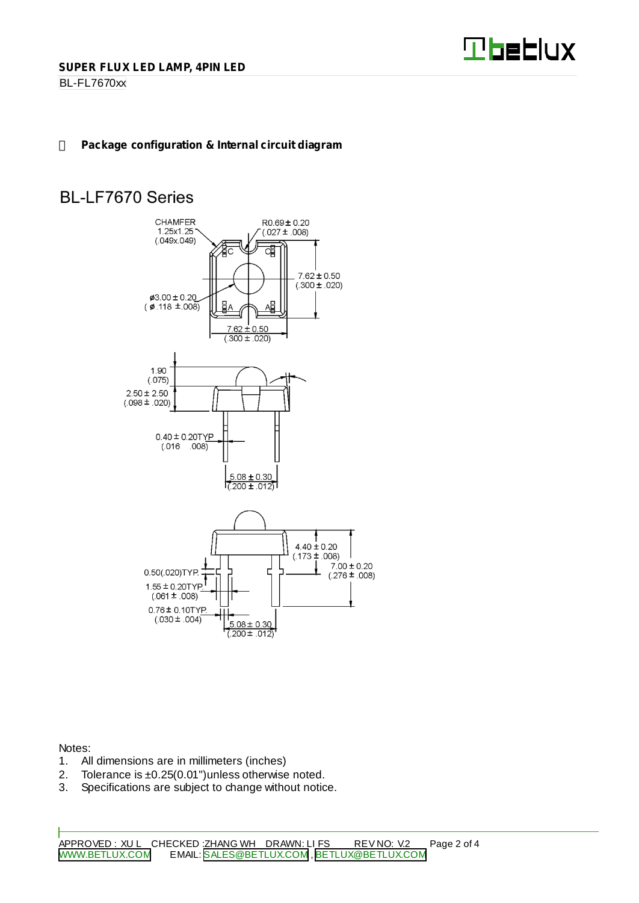

BL-FL7670xx

# **Package configuration & Internal circuit diagram**

# **BL-LF7670 Series**



Notes:

- 1. All dimensions are in millimeters (inches)
- 2. Tolerance is  $\pm 0.25(0.01")$  unless otherwise noted.<br>3. Specifications are subject to change without notic
- Specifications are subject to change without notice.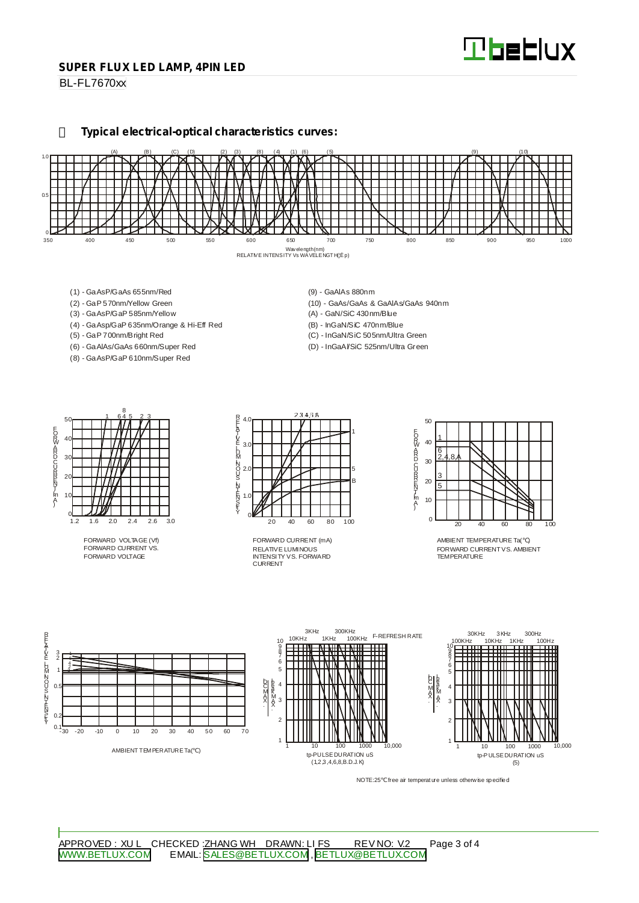#### **SUPER FLUX LED LAMP, 4PIN LED**

BL-FL7670xx

**Typical electrical-optical characteristics curves:**



- (1) GaAsP/GaAs 655nm/Red
- (2) GaP 570nm/Yellow Green
- (3) GaAsP/GaP 585nm/Yellow
- (4) GaAsp/GaP 635nm/Orange & Hi-Eff Red
- (5) GaP 700nm/Bright Red
- (6) GaAlAs/GaAs 660nm/Super Red (8) - GaAsP/GaP 610nm/Super Red
- (9) GaAlAs 880nm
- (10) GaAs/GaAs & GaAlAs/GaAs 940nm
- (A) GaN/SiC 430nm/Blue
- (B) InGaN/SiC 470nm/Blue
- (C) InGaN/SiC 505nm/Ultra Green (D) - InGaAl/SiC 525nm/Ultra Green

50 40 30  $\mathcal{D}$ 10  $rac{0}{1.2}$ 1.2 1.6 2.0 2.4 2.6 3.0 1 645 23 8 EORWARD CURRINT [mA]

FORWARD VOLTAGE (Vf) FORWARD CURRENT VS. FORWARD VOLTAGE



RELATIVE LUMINOUS INTENSITY VS. FORWARD CURRENT FORWARD CURRENT (mA)



AMBIENT TEMPERATURE Ta( ) FORWARD CURRENTVS. AMBIENT TEMPERATURE



NOTE:25 free air temperature unless otherwise specified